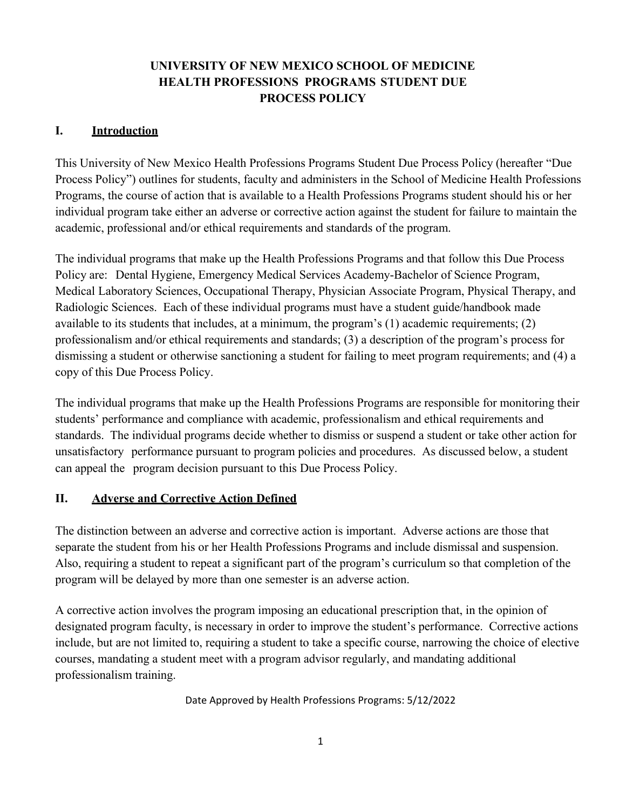# **UNIVERSITY OF NEW MEXICO SCHOOL OF MEDICINE HEALTH PROFESSIONS PROGRAMS STUDENT DUE PROCESS POLICY**

#### **I. Introduction**

This University of New Mexico Health Professions Programs Student Due Process Policy (hereafter "Due Process Policy") outlines for students, faculty and administers in the School of Medicine Health Professions Programs, the course of action that is available to a Health Professions Programs student should his or her individual program take either an adverse or corrective action against the student for failure to maintain the academic, professional and/or ethical requirements and standards of the program.

The individual programs that make up the Health Professions Programs and that follow this Due Process Policy are: Dental Hygiene, Emergency Medical Services Academy-Bachelor of Science Program, Medical Laboratory Sciences, Occupational Therapy, Physician Associate Program, Physical Therapy, and Radiologic Sciences. Each of these individual programs must have a student guide/handbook made available to its students that includes, at a minimum, the program's (1) academic requirements; (2) professionalism and/or ethical requirements and standards; (3) a description of the program's process for dismissing a student or otherwise sanctioning a student for failing to meet program requirements; and (4) a copy of this Due Process Policy.

The individual programs that make up the Health Professions Programs are responsible for monitoring their students' performance and compliance with academic, professionalism and ethical requirements and standards. The individual programs decide whether to dismiss or suspend a student or take other action for unsatisfactory performance pursuant to program policies and procedures. As discussed below, a student can appeal the program decision pursuant to this Due Process Policy.

#### **II. Adverse and Corrective Action Defined**

The distinction between an adverse and corrective action is important. Adverse actions are those that separate the student from his or her Health Professions Programs and include dismissal and suspension. Also, requiring a student to repeat a significant part of the program's curriculum so that completion of the program will be delayed by more than one semester is an adverse action.

A corrective action involves the program imposing an educational prescription that, in the opinion of designated program faculty, is necessary in order to improve the student's performance. Corrective actions include, but are not limited to, requiring a student to take a specific course, narrowing the choice of elective courses, mandating a student meet with a program advisor regularly, and mandating additional professionalism training.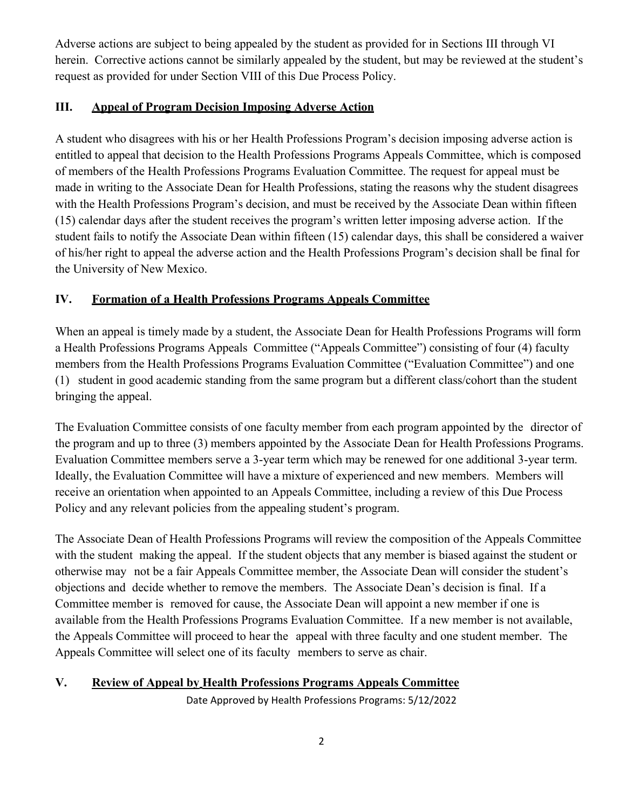Adverse actions are subject to being appealed by the student as provided for in Sections III through VI herein. Corrective actions cannot be similarly appealed by the student, but may be reviewed at the student's request as provided for under Section VIII of this Due Process Policy.

### **III. Appeal of Program Decision Imposing Adverse Action**

A student who disagrees with his or her Health Professions Program's decision imposing adverse action is entitled to appeal that decision to the Health Professions Programs Appeals Committee, which is composed of members of the Health Professions Programs Evaluation Committee. The request for appeal must be made in writing to the Associate Dean for Health Professions, stating the reasons why the student disagrees with the Health Professions Program's decision, and must be received by the Associate Dean within fifteen (15) calendar days after the student receives the program's written letter imposing adverse action. If the student fails to notify the Associate Dean within fifteen (15) calendar days, this shall be considered a waiver of his/her right to appeal the adverse action and the Health Professions Program's decision shall be final for the University of New Mexico.

## **IV. Formation of a Health Professions Programs Appeals Committee**

When an appeal is timely made by a student, the Associate Dean for Health Professions Programs will form a Health Professions Programs Appeals Committee ("Appeals Committee") consisting of four (4) faculty members from the Health Professions Programs Evaluation Committee ("Evaluation Committee") and one (1) student in good academic standing from the same program but a different class/cohort than the student bringing the appeal.

The Evaluation Committee consists of one faculty member from each program appointed by the director of the program and up to three (3) members appointed by the Associate Dean for Health Professions Programs. Evaluation Committee members serve a 3-year term which may be renewed for one additional 3-year term. Ideally, the Evaluation Committee will have a mixture of experienced and new members. Members will receive an orientation when appointed to an Appeals Committee, including a review of this Due Process Policy and any relevant policies from the appealing student's program.

The Associate Dean of Health Professions Programs will review the composition of the Appeals Committee with the student making the appeal. If the student objects that any member is biased against the student or otherwise may not be a fair Appeals Committee member, the Associate Dean will consider the student's objections and decide whether to remove the members. The Associate Dean's decision is final. If a Committee member is removed for cause, the Associate Dean will appoint a new member if one is available from the Health Professions Programs Evaluation Committee. If a new member is not available, the Appeals Committee will proceed to hear the appeal with three faculty and one student member. The Appeals Committee will select one of its faculty members to serve as chair.

#### **V. Review of Appeal by Health Professions Programs Appeals Committee**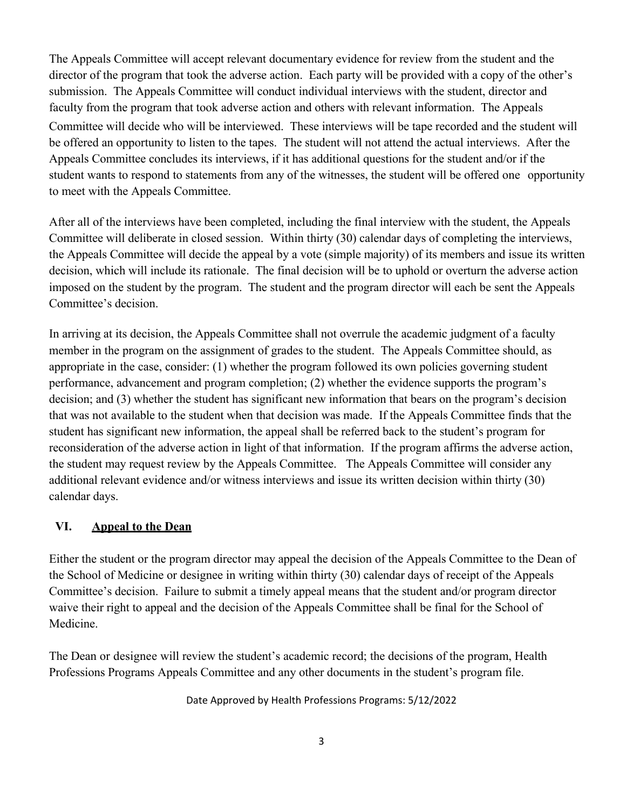The Appeals Committee will accept relevant documentary evidence for review from the student and the director of the program that took the adverse action. Each party will be provided with a copy of the other's submission. The Appeals Committee will conduct individual interviews with the student, director and faculty from the program that took adverse action and others with relevant information. The Appeals Committee will decide who will be interviewed. These interviews will be tape recorded and the student will be offered an opportunity to listen to the tapes. The student will not attend the actual interviews. After the Appeals Committee concludes its interviews, if it has additional questions for the student and/or if the student wants to respond to statements from any of the witnesses, the student will be offered one opportunity to meet with the Appeals Committee.

After all of the interviews have been completed, including the final interview with the student, the Appeals Committee will deliberate in closed session. Within thirty (30) calendar days of completing the interviews, the Appeals Committee will decide the appeal by a vote (simple majority) of its members and issue its written decision, which will include its rationale. The final decision will be to uphold or overturn the adverse action imposed on the student by the program. The student and the program director will each be sent the Appeals Committee's decision.

In arriving at its decision, the Appeals Committee shall not overrule the academic judgment of a faculty member in the program on the assignment of grades to the student. The Appeals Committee should, as appropriate in the case, consider: (1) whether the program followed its own policies governing student performance, advancement and program completion; (2) whether the evidence supports the program's decision; and (3) whether the student has significant new information that bears on the program's decision that was not available to the student when that decision was made. If the Appeals Committee finds that the student has significant new information, the appeal shall be referred back to the student's program for reconsideration of the adverse action in light of that information. If the program affirms the adverse action, the student may request review by the Appeals Committee. The Appeals Committee will consider any additional relevant evidence and/or witness interviews and issue its written decision within thirty (30) calendar days.

#### **VI. Appeal to the Dean**

Either the student or the program director may appeal the decision of the Appeals Committee to the Dean of the School of Medicine or designee in writing within thirty (30) calendar days of receipt of the Appeals Committee's decision. Failure to submit a timely appeal means that the student and/or program director waive their right to appeal and the decision of the Appeals Committee shall be final for the School of Medicine.

The Dean or designee will review the student's academic record; the decisions of the program, Health Professions Programs Appeals Committee and any other documents in the student's program file.